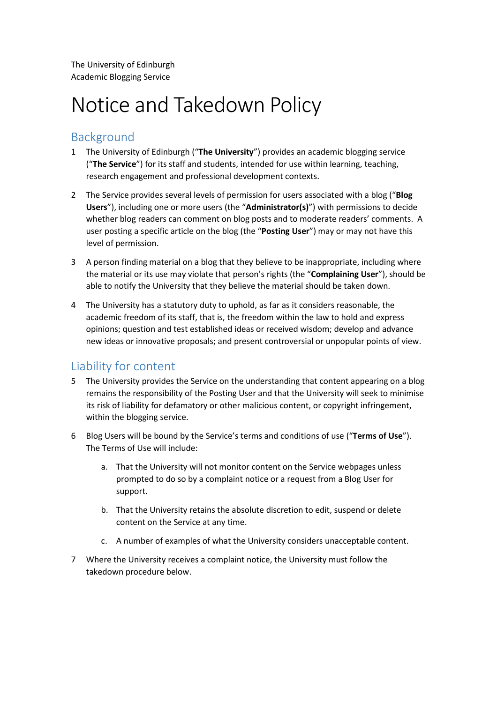The University of Edinburgh Academic Blogging Service

# Notice and Takedown Policy

## Background

- 1 The University of Edinburgh ("**The University**") provides an academic blogging service ("**The Service**") for its staff and students, intended for use within learning, teaching, research engagement and professional development contexts.
- 2 The Service provides several levels of permission for users associated with a blog ("**Blog Users**"), including one or more users (the "**Administrator(s)**") with permissions to decide whether blog readers can comment on blog posts and to moderate readers' comments. A user posting a specific article on the blog (the "**Posting User**") may or may not have this level of permission.
- 3 A person finding material on a blog that they believe to be inappropriate, including where the material or its use may violate that person's rights (the "**Complaining User**"), should be able to notify the University that they believe the material should be taken down.
- 4 The University has a statutory duty to uphold, as far as it considers reasonable, the academic freedom of its staff, that is, the freedom within the law to hold and express opinions; question and test established ideas or received wisdom; develop and advance new ideas or innovative proposals; and present controversial or unpopular points of view.

### Liability for content

- 5 The University provides the Service on the understanding that content appearing on a blog remains the responsibility of the Posting User and that the University will seek to minimise its risk of liability for defamatory or other malicious content, or copyright infringement, within the blogging service.
- 6 Blog Users will be bound by the Service's terms and conditions of use ("**Terms of Use**"). The Terms of Use will include:
	- a. That the University will not monitor content on the Service webpages unless prompted to do so by a complaint notice or a request from a Blog User for support.
	- b. That the University retains the absolute discretion to edit, suspend or delete content on the Service at any time.
	- c. A number of examples of what the University considers unacceptable content.
- 7 Where the University receives a complaint notice, the University must follow the takedown procedure below.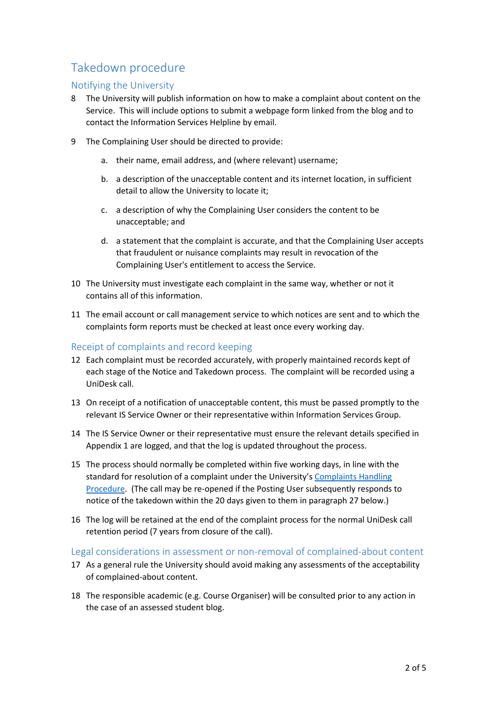## Takedown procedure

#### Notifying the University

- 8 The University will publish information on how to make a complaint about content on the Service. This will include options to submit a webpage form linked from the blog and to contact the Information Services Helpline by email.
- 9 The Complaining User should be directed to provide:
	- a. their name, email address, and (where relevant) username;
	- b. a description of the unacceptable content and its internet location, in sufficient detail to allow the University to locate it;
	- c. a description of why the Complaining User considers the content to be unacceptable; and
	- d. a statement that the complaint is accurate, and that the Complaining User accepts that fraudulent or nuisance complaints may result in revocation of the Complaining User's entitlement to access the Service.
- 10 The University must investigate each complaint in the same way, whether or not it contains all of this information.
- 11 The email account or call management service to which notices are sent and to which the complaints form reports must be checked at least once every working day.

#### Receipt of complaints and record keeping

- 12 Each complaint must be recorded accurately, with properly maintained records kept of each stage of the Notice and Takedown process. The complaint will be recorded using a UniDesk call.
- 13 On receipt of a notification of unacceptable content, this must be passed promptly to the relevant IS Service Owner or their representative within Information Services Group.
- 14 The IS Service Owner or their representative must ensure the relevant details specified in Appendix 1 are logged, and that the log is updated throughout the process.
- 15 The process should normally be completed within five working days, in line with the standard for resolution of a complaint under the University's Complaints Handling Procedure. (The call may be re-opened if the Posting User subsequently responds to notice of the takedown within the 20 days given to them in paragraph 27 below.)
- 16 The log will be retained at the end of the complaint process for the normal UniDesk call retention period (7 years from closure of the call).

#### Legal considerations in assessment or non-removal of complained-about content

- 17 As a general rule the University should avoid making any assessments of the acceptability of complained-about content.
- 18 The responsible academic (e.g. Course Organiser) will be consulted prior to any action in the case of an assessed student blog.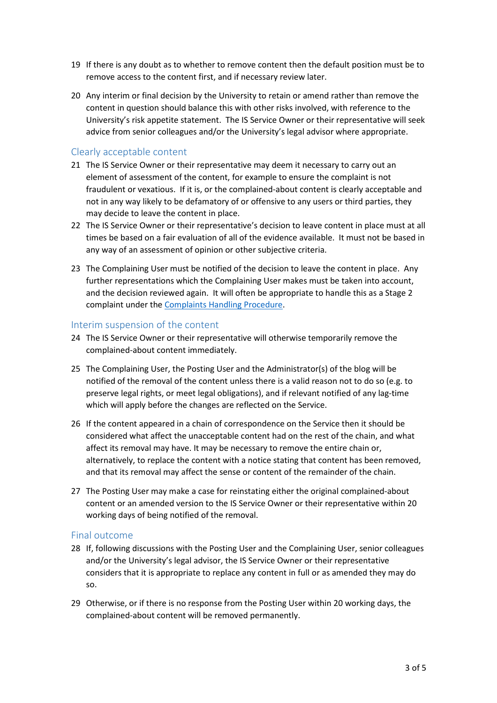- 19 If there is any doubt as to whether to remove content then the default position must be to remove access to the content first, and if necessary review later.
- 20 Any interim or final decision by the University to retain or amend rather than remove the content in question should balance this with other risks involved, with reference to the University's risk appetite statement. The IS Service Owner or their representative will seek advice from senior colleagues and/or the University's legal advisor where appropriate.

#### Clearly acceptable content

- 21 The IS Service Owner or their representative may deem it necessary to carry out an element of assessment of the content, for example to ensure the complaint is not fraudulent or vexatious. If it is, or the complained-about content is clearly acceptable and not in any way likely to be defamatory of or offensive to any users or third parties, they may decide to leave the content in place.
- 22 The IS Service Owner or their representative's decision to leave content in place must at all times be based on a fair evaluation of all of the evidence available. It must not be based in any way of an assessment of opinion or other subjective criteria.
- 23 The Complaining User must be notified of the decision to leave the content in place. Any further representations which the Complaining User makes must be taken into account, and the decision reviewed again. It will often be appropriate to handle this as a Stage 2 complaint under the Complaints Handling Procedure.

#### Interim suspension of the content

- 24 The IS Service Owner or their representative will otherwise temporarily remove the complained-about content immediately.
- 25 The Complaining User, the Posting User and the Administrator(s) of the blog will be notified of the removal of the content unless there is a valid reason not to do so (e.g. to preserve legal rights, or meet legal obligations), and if relevant notified of any lag-time which will apply before the changes are reflected on the Service.
- 26 If the content appeared in a chain of correspondence on the Service then it should be considered what affect the unacceptable content had on the rest of the chain, and what affect its removal may have. It may be necessary to remove the entire chain or, alternatively, to replace the content with a notice stating that content has been removed, and that its removal may affect the sense or content of the remainder of the chain.
- 27 The Posting User may make a case for reinstating either the original complained-about content or an amended version to the IS Service Owner or their representative within 20 working days of being notified of the removal.

#### Final outcome

- 28 If, following discussions with the Posting User and the Complaining User, senior colleagues and/or the University's legal advisor, the IS Service Owner or their representative considers that it is appropriate to replace any content in full or as amended they may do so.
- 29 Otherwise, or if there is no response from the Posting User within 20 working days, the complained-about content will be removed permanently.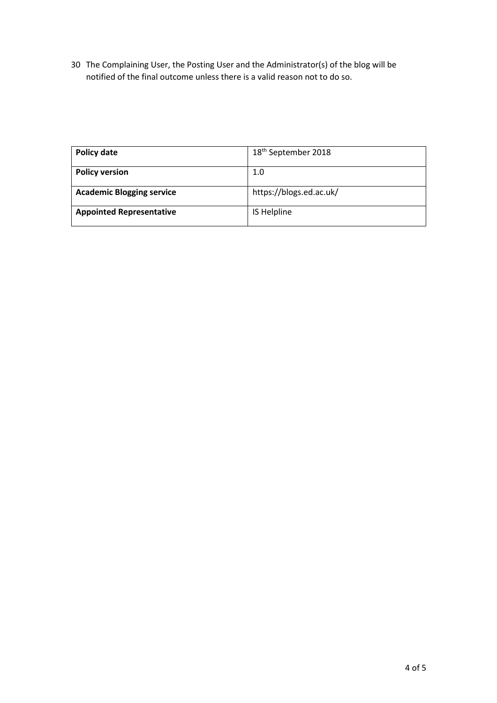30 The Complaining User, the Posting User and the Administrator(s) of the blog will be notified of the final outcome unless there is a valid reason not to do so.

| Policy date                      | 18 <sup>th</sup> September 2018 |
|----------------------------------|---------------------------------|
| <b>Policy version</b>            | 1.0                             |
| <b>Academic Blogging service</b> | https://blogs.ed.ac.uk/         |
| <b>Appointed Representative</b>  | IS Helpline                     |